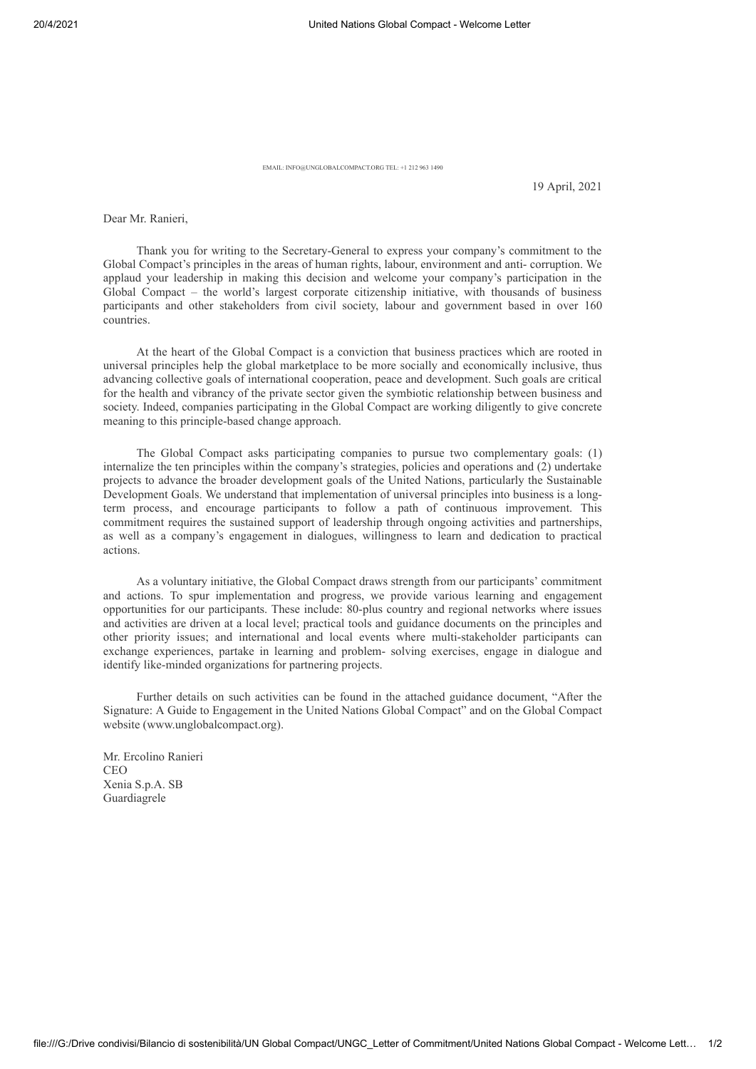EMAIL: INFO@UNGLOBALCOMPACT.ORG TEL: +1 212 963 1490

19 April, 2021

Dear Mr. Ranieri,

Thank you for writing to the Secretary-General to express your company's commitment to the Global Compact's principles in the areas of human rights, labour, environment and anti- corruption. We applaud your leadership in making this decision and welcome your company's participation in the Global Compact – the world's largest corporate citizenship initiative, with thousands of business participants and other stakeholders from civil society, labour and government based in over 160 countries.

At the heart of the Global Compact is a conviction that business practices which are rooted in universal principles help the global marketplace to be more socially and economically inclusive, thus advancing collective goals of international cooperation, peace and development. Such goals are critical for the health and vibrancy of the private sector given the symbiotic relationship between business and society. Indeed, companies participating in the Global Compact are working diligently to give concrete meaning to this principle-based change approach.

The Global Compact asks participating companies to pursue two complementary goals: (1) internalize the ten principles within the company's strategies, policies and operations and (2) undertake projects to advance the broader development goals of the United Nations, particularly the Sustainable Development Goals. We understand that implementation of universal principles into business is a longterm process, and encourage participants to follow a path of continuous improvement. This commitment requires the sustained support of leadership through ongoing activities and partnerships, as well as a company's engagement in dialogues, willingness to learn and dedication to practical actions.

As a voluntary initiative, the Global Compact draws strength from our participants' commitment and actions. To spur implementation and progress, we provide various learning and engagement opportunities for our participants. These include: 80-plus country and regional networks where issues and activities are driven at a local level; practical tools and guidance documents on the principles and other priority issues; and international and local events where multi-stakeholder participants can exchange experiences, partake in learning and problem- solving exercises, engage in dialogue and identify like-minded organizations for partnering projects.

Further details on such activities can be found in the attached guidance document, "After the Signature: A Guide to Engagement in the United Nations Global Compact" and on the Global Compact website (www.unglobalcompact.org).

Mr. Ercolino Ranieri CEO Xenia S.p.A. SB Guardiagrele